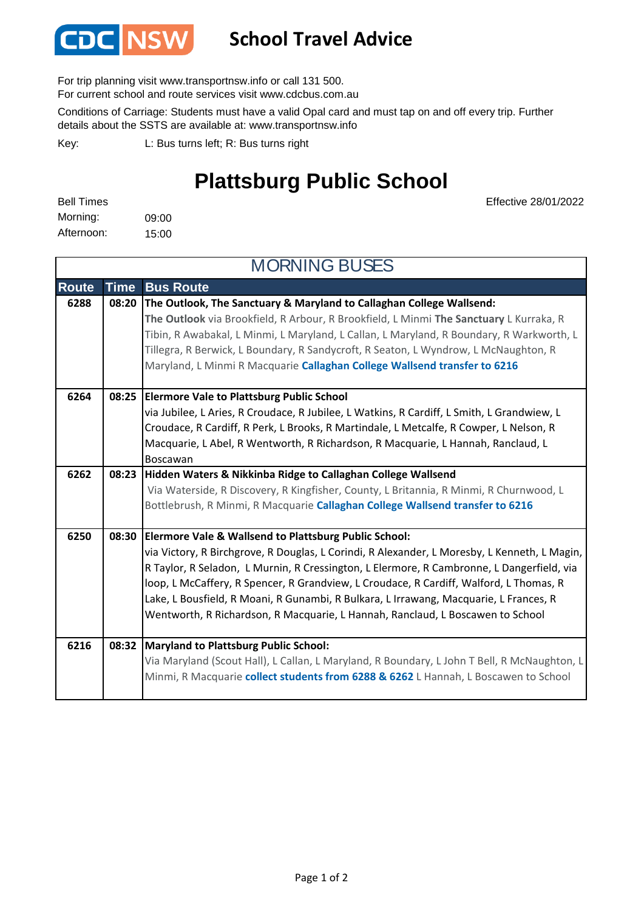

## **School Travel Advice**

For trip planning visit www.transportnsw.info or call 131 500.

For current school and route services visit www.cdcbus.com.au

Conditions of Carriage: Students must have a valid Opal card and must tap on and off every trip. Further details about the SSTS are available at: www.transportnsw.info

L: Bus turns left; R: Bus turns right Key:

## **Plattsburg Public School**

| <b>Bell Times</b> |       |
|-------------------|-------|
| Morning:          | 09:00 |
| Afternoon:        | 15:00 |

Effective 28/01/2022

| <b>MORNING BUSES</b> |             |                                                                                                                                                                                 |  |  |
|----------------------|-------------|---------------------------------------------------------------------------------------------------------------------------------------------------------------------------------|--|--|
| <b>Route</b>         | <b>Time</b> | <b>Bus Route</b>                                                                                                                                                                |  |  |
| 6288                 | 08:20       | The Outlook, The Sanctuary & Maryland to Callaghan College Wallsend:                                                                                                            |  |  |
|                      |             | The Outlook via Brookfield, R Arbour, R Brookfield, L Minmi The Sanctuary L Kurraka, R                                                                                          |  |  |
|                      |             | Tibin, R Awabakal, L Minmi, L Maryland, L Callan, L Maryland, R Boundary, R Warkworth, L<br>Tillegra, R Berwick, L Boundary, R Sandycroft, R Seaton, L Wyndrow, L McNaughton, R |  |  |
|                      |             | Maryland, L Minmi R Macquarie Callaghan College Wallsend transfer to 6216                                                                                                       |  |  |
|                      |             |                                                                                                                                                                                 |  |  |
| 6264                 | 08:25       | <b>Elermore Vale to Plattsburg Public School</b>                                                                                                                                |  |  |
|                      |             | via Jubilee, L Aries, R Croudace, R Jubilee, L Watkins, R Cardiff, L Smith, L Grandwiew, L                                                                                      |  |  |
|                      |             | Croudace, R Cardiff, R Perk, L Brooks, R Martindale, L Metcalfe, R Cowper, L Nelson, R                                                                                          |  |  |
|                      |             | Macquarie, L Abel, R Wentworth, R Richardson, R Macquarie, L Hannah, Ranclaud, L                                                                                                |  |  |
|                      |             | Boscawan                                                                                                                                                                        |  |  |
| 6262                 | 08:23       | Hidden Waters & Nikkinba Ridge to Callaghan College Wallsend                                                                                                                    |  |  |
|                      |             | Via Waterside, R Discovery, R Kingfisher, County, L Britannia, R Minmi, R Churnwood, L                                                                                          |  |  |
|                      |             | Bottlebrush, R Minmi, R Macquarie Callaghan College Wallsend transfer to 6216                                                                                                   |  |  |
| 6250                 | 08:30       | <b>Elermore Vale &amp; Wallsend to Plattsburg Public School:</b>                                                                                                                |  |  |
|                      |             | via Victory, R Birchgrove, R Douglas, L Corindi, R Alexander, L Moresby, L Kenneth, L Magin,                                                                                    |  |  |
|                      |             | R Taylor, R Seladon, L Murnin, R Cressington, L Elermore, R Cambronne, L Dangerfield, via                                                                                       |  |  |
|                      |             | loop, L McCaffery, R Spencer, R Grandview, L Croudace, R Cardiff, Walford, L Thomas, R                                                                                          |  |  |
|                      |             | Lake, L Bousfield, R Moani, R Gunambi, R Bulkara, L Irrawang, Macquarie, L Frances, R                                                                                           |  |  |
|                      |             | Wentworth, R Richardson, R Macquarie, L Hannah, Ranclaud, L Boscawen to School                                                                                                  |  |  |
| 6216                 | 08:32       | <b>Maryland to Plattsburg Public School:</b>                                                                                                                                    |  |  |
|                      |             | Via Maryland (Scout Hall), L Callan, L Maryland, R Boundary, L John T Bell, R McNaughton, L                                                                                     |  |  |
|                      |             | Minmi, R Macquarie collect students from 6288 & 6262 L Hannah, L Boscawen to School                                                                                             |  |  |